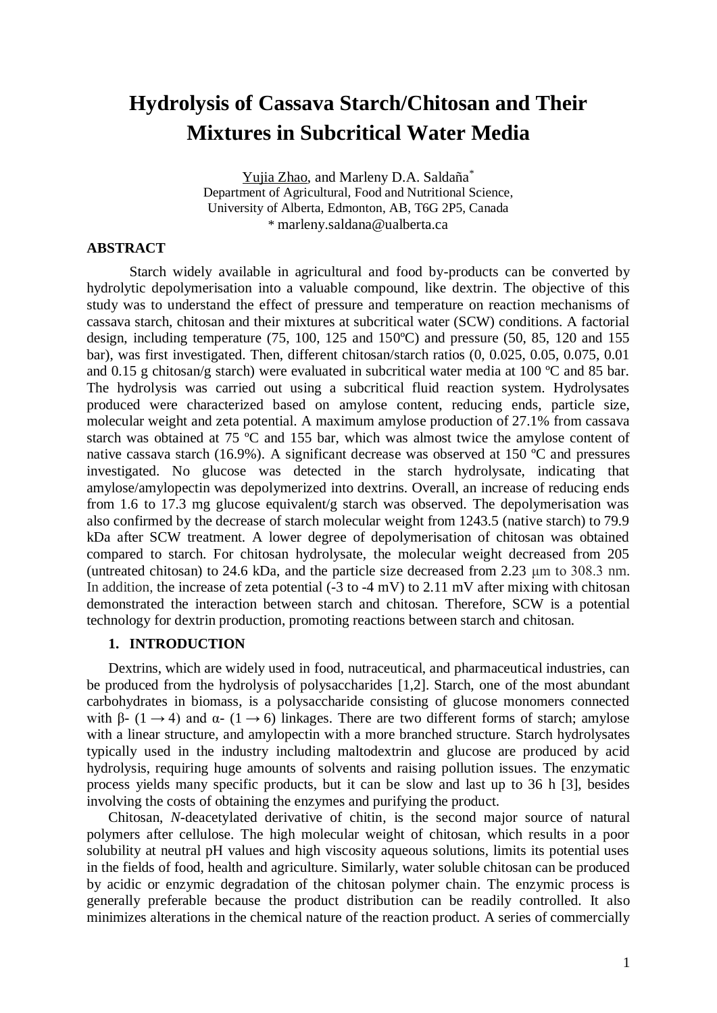# **Hydrolysis of Cassava Starch/Chitosan and Their Mixtures in Subcritical Water Media**

Yujia Zhao, and Marleny D.A. Saldaña\* Department of Agricultural, Food and Nutritional Science, University of Alberta, Edmonton, AB, T6G 2P5, Canada \* [marleny.saldana@ualberta.ca](mailto:marleny.saldana@ualberta.ca)

# **ABSTRACT**

Starch widely available in agricultural and food by-products can be converted by hydrolytic depolymerisation into a valuable compound, like dextrin. The objective of this study was to understand the effect of pressure and temperature on reaction mechanisms of cassava starch, chitosan and their mixtures at subcritical water (SCW) conditions. A factorial design, including temperature (75, 100, 125 and 150ºC) and pressure (50, 85, 120 and 155 bar), was first investigated. Then, different chitosan/starch ratios (0, 0.025, 0.05, 0.075, 0.01 and 0.15 g chitosan/g starch) were evaluated in subcritical water media at 100 ºC and 85 bar. The hydrolysis was carried out using a subcritical fluid reaction system. Hydrolysates produced were characterized based on amylose content, reducing ends, particle size, molecular weight and zeta potential. A maximum amylose production of 27.1% from cassava starch was obtained at 75 ºC and 155 bar, which was almost twice the amylose content of native cassava starch (16.9%). A significant decrease was observed at 150 ºC and pressures investigated. No glucose was detected in the starch hydrolysate, indicating that amylose/amylopectin was depolymerized into dextrins. Overall, an increase of reducing ends from 1.6 to 17.3 mg glucose equivalent/g starch was observed. The depolymerisation was also confirmed by the decrease of starch molecular weight from 1243.5 (native starch) to 79.9 kDa after SCW treatment. A lower degree of depolymerisation of chitosan was obtained compared to starch. For chitosan hydrolysate, the molecular weight decreased from 205 (untreated chitosan) to 24.6 kDa, and the particle size decreased from 2.23 μm to 308.3 nm. In addition, the increase of zeta potential  $(-3 \text{ to } -4 \text{ mV})$  to  $2.11 \text{ mV}$  after mixing with chitosan demonstrated the interaction between starch and chitosan. Therefore, SCW is a potential technology for dextrin production, promoting reactions between starch and chitosan.

## **1. INTRODUCTION**

Dextrins, which are widely used in food, nutraceutical, and pharmaceutical industries, can be produced from the hydrolysis of polysaccharides [1,2]. Starch, one of the most abundant carbohydrates in biomass, is a polysaccharide consisting of glucose monomers connected with β- (1  $\rightarrow$  4) and  $\alpha$ - (1  $\rightarrow$  6) linkages. There are two different forms of starch; amylose with a linear structure, and amylopectin with a more branched structure. Starch hydrolysates typically used in the industry including maltodextrin and glucose are produced by acid hydrolysis, requiring huge amounts of solvents and raising pollution issues. The enzymatic process yields many specific products, but it can be slow and last up to 36 h [3], besides involving the costs of obtaining the enzymes and purifying the product.

Chitosan, *N*-deacetylated derivative of chitin, is the second major source of natural polymers after cellulose. The high molecular weight of chitosan, which results in a poor solubility at neutral pH values and high viscosity aqueous solutions, limits its potential uses in the fields of food, health and agriculture. Similarly, water soluble chitosan can be produced by acidic or enzymic degradation of the chitosan polymer chain. The enzymic process is generally preferable because the product distribution can be readily controlled. It also minimizes alterations in the chemical nature of the reaction product. A series of commercially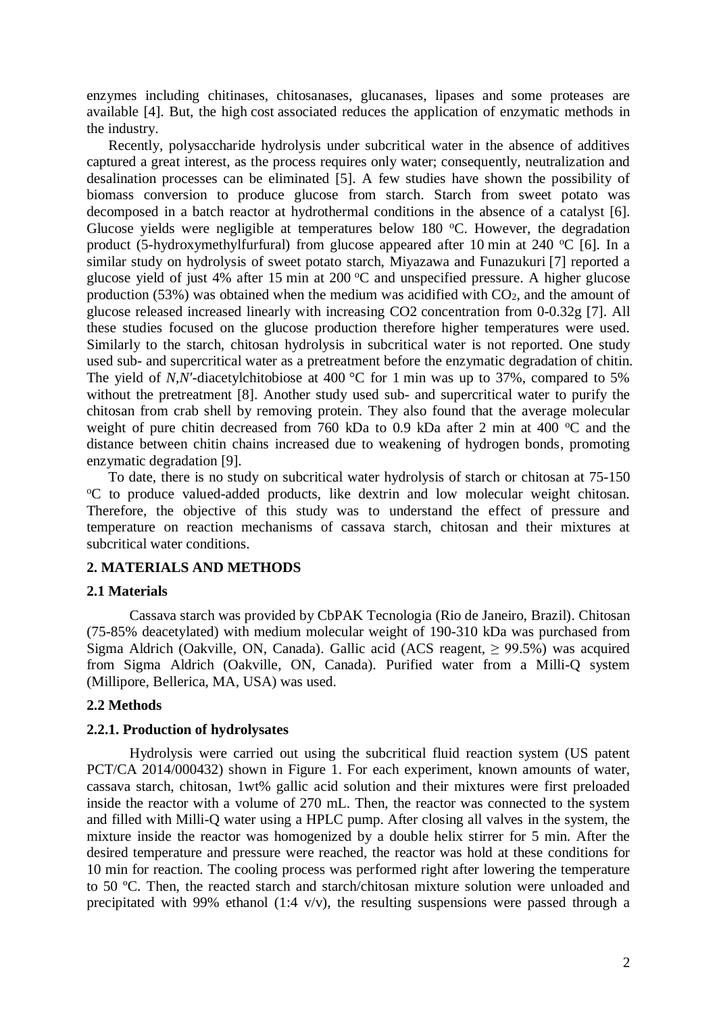enzymes including chitinases, chitosanases, glucanases, lipases and some proteases are available [4]. But, the high cost associated reduces the application of enzymatic methods in the industry.

Recently, polysaccharide hydrolysis under subcritical water in the absence of additives captured a great interest, as the process requires only water; consequently, neutralization and desalination processes can be eliminated [5]. A few studies have shown the possibility of biomass conversion to produce glucose from starch. Starch from sweet potato was decomposed in a batch reactor at hydrothermal conditions in the absence of a catalyst [6]. Glucose yields were negligible at temperatures below 180  $^{\circ}$ C. However, the degradation product (5-hydroxymethylfurfural) from glucose appeared after 10 min at 240  $^{\circ}$ C [6]. In a similar study on hydrolysis of sweet potato starch, Miyazawa and Funazukuri [7] reported a glucose yield of just 4% after 15 min at  $200\,^{\circ}\text{C}$  and unspecified pressure. A higher glucose production  $(53\%)$  was obtained when the medium was acidified with  $CO<sub>2</sub>$ , and the amount of glucose released increased linearly with increasing CO2 concentration from 0-0.32g [7]. All these studies focused on the glucose production therefore higher temperatures were used. Similarly to the starch, chitosan hydrolysis in subcritical water is not reported. One study used sub- and supercritical water as a pretreatment before the enzymatic degradation of chitin. The yield of *N*,*N*<sup> $\prime$ </sup>-diacetylchitobiose at 400 °C for 1 min was up to 37%, compared to 5% without the pretreatment [8]. Another study used sub- and supercritical water to purify the chitosan from crab shell by removing protein. They also found that the average molecular weight of pure chitin decreased from 760 kDa to 0.9 kDa after 2 min at 400  $^{\circ}$ C and the distance between chitin chains increased due to weakening of hydrogen bonds, promoting enzymatic degradation [9].

To date, there is no study on subcritical water hydrolysis of starch or chitosan at 75-150 <sup>o</sup>C to produce valued-added products, like dextrin and low molecular weight chitosan. Therefore, the objective of this study was to understand the effect of pressure and temperature on reaction mechanisms of cassava starch, chitosan and their mixtures at subcritical water conditions.

## **2. MATERIALS AND METHODS**

#### **2.1 Materials**

Cassava starch was provided by CbPAK Tecnologia (Rio de Janeiro, Brazil). Chitosan (75-85% deacetylated) with medium molecular weight of 190-310 kDa was purchased from Sigma Aldrich (Oakville, ON, Canada). Gallic acid (ACS reagent,  $\geq$  99.5%) was acquired from Sigma Aldrich (Oakville, ON, Canada). Purified water from a Milli-Q system (Millipore, Bellerica, MA, USA) was used.

#### **2.2 Methods**

#### **2.2.1. Production of hydrolysates**

Hydrolysis were carried out using the subcritical fluid reaction system (US patent PCT/CA 2014/000432) shown in Figure 1. For each experiment, known amounts of water, cassava starch, chitosan, 1wt% gallic acid solution and their mixtures were first preloaded inside the reactor with a volume of 270 mL. Then, the reactor was connected to the system and filled with Milli-Q water using a HPLC pump. After closing all valves in the system, the mixture inside the reactor was homogenized by a double helix stirrer for 5 min. After the desired temperature and pressure were reached, the reactor was hold at these conditions for 10 min for reaction. The cooling process was performed right after lowering the temperature to 50 ºC. Then, the reacted starch and starch/chitosan mixture solution were unloaded and precipitated with 99% ethanol (1:4  $v/v$ ), the resulting suspensions were passed through a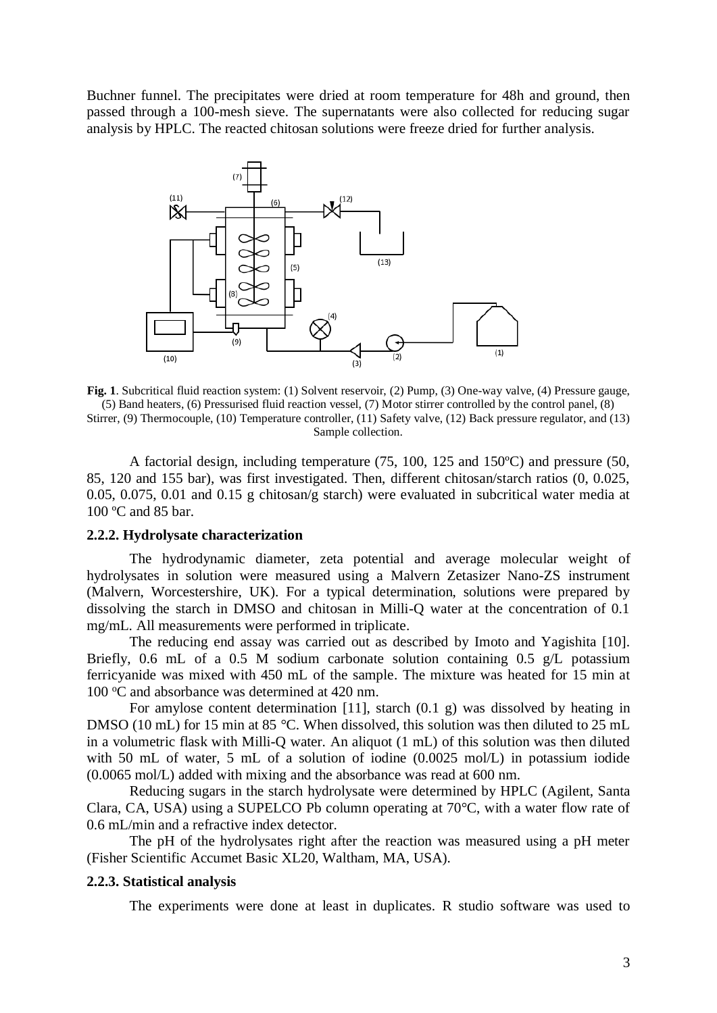Buchner funnel. The precipitates were dried at room temperature for 48h and ground, then passed through a 100-mesh sieve. The supernatants were also collected for reducing sugar analysis by HPLC. The reacted chitosan solutions were freeze dried for further analysis.



**Fig. 1**. Subcritical fluid reaction system: (1) Solvent reservoir, (2) Pump, (3) One-way valve, (4) Pressure gauge, (5) Band heaters, (6) Pressurised fluid reaction vessel, (7) Motor stirrer controlled by the control panel, (8) Stirrer, (9) Thermocouple, (10) Temperature controller, (11) Safety valve, (12) Back pressure regulator, and (13) Sample collection.

A factorial design, including temperature (75, 100, 125 and 150ºC) and pressure (50, 85, 120 and 155 bar), was first investigated. Then, different chitosan/starch ratios (0, 0.025, 0.05, 0.075, 0.01 and 0.15 g chitosan/g starch) were evaluated in subcritical water media at 100 ºC and 85 bar.

#### **2.2.2. Hydrolysate characterization**

The hydrodynamic diameter, zeta potential and average molecular weight of hydrolysates in solution were measured using a Malvern Zetasizer Nano-ZS instrument (Malvern, Worcestershire, UK). For a typical determination, solutions were prepared by dissolving the starch in DMSO and chitosan in Milli-Q water at the concentration of 0.1 mg/mL. All measurements were performed in triplicate.

The reducing end assay was carried out as described by Imoto and Yagishita [10]. Briefly, 0.6 mL of a 0.5 M sodium carbonate solution containing 0.5 g/L potassium ferricyanide was mixed with 450 mL of the sample. The mixture was heated for 15 min at 100 °C and absorbance was determined at 420 nm.

For amylose content determination [11], starch  $(0.1 \text{ g})$  was dissolved by heating in DMSO (10 mL) for 15 min at 85 °C. When dissolved, this solution was then diluted to 25 mL in a volumetric flask with Milli-Q water. An aliquot (1 mL) of this solution was then diluted with 50 mL of water, 5 mL of a solution of iodine (0.0025 mol/L) in potassium iodide (0.0065 mol/L) added with mixing and the absorbance was read at 600 nm.

Reducing sugars in the starch hydrolysate were determined by HPLC (Agilent, Santa Clara, CA, USA) using a SUPELCO Pb column operating at 70°C, with a water flow rate of 0.6 mL/min and a refractive index detector.

The pH of the hydrolysates right after the reaction was measured using a pH meter (Fisher Scientific Accumet Basic XL20, Waltham, MA, USA).

#### **2.2.3. Statistical analysis**

The experiments were done at least in duplicates. R studio software was used to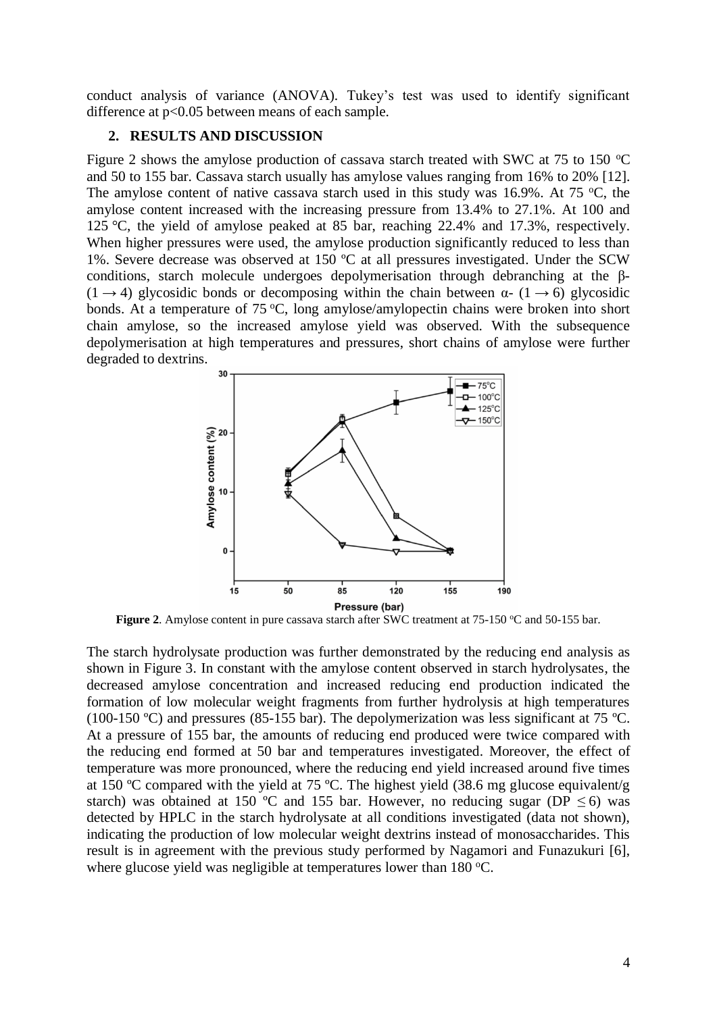conduct analysis of variance (ANOVA). Tukey's test was used to identify significant difference at  $p<0.05$  between means of each sample.

#### **2. RESULTS AND DISCUSSION**

Figure 2 shows the amylose production of cassava starch treated with SWC at 75 to 150  $^{\circ}$ C and 50 to 155 bar. Cassava starch usually has amylose values ranging from 16% to 20% [12]. The amylose content of native cassava starch used in this study was 16.9%. At 75  $\degree$ C, the amylose content increased with the increasing pressure from 13.4% to 27.1%. At 100 and 125 °C, the yield of amylose peaked at 85 bar, reaching 22.4% and 17.3%, respectively. When higher pressures were used, the amylose production significantly reduced to less than 1%. Severe decrease was observed at 150 ºC at all pressures investigated. Under the SCW conditions, starch molecule undergoes depolymerisation through debranching at the β-  $(1 \rightarrow 4)$  glycosidic bonds or decomposing within the chain between  $\alpha$ -  $(1 \rightarrow 6)$  glycosidic bonds. At a temperature of 75  $\degree$ C, long amylose/amylopectin chains were broken into short chain amylose, so the increased amylose yield was observed. With the subsequence depolymerisation at high temperatures and pressures, short chains of amylose were further degraded to dextrins.



**Figure 2.** Amylose content in pure cassava starch after SWC treatment at 75-150 °C and 50-155 bar.

The starch hydrolysate production was further demonstrated by the reducing end analysis as shown in Figure 3. In constant with the amylose content observed in starch hydrolysates, the decreased amylose concentration and increased reducing end production indicated the formation of low molecular weight fragments from further hydrolysis at high temperatures (100-150 ºC) and pressures (85-155 bar). The depolymerization was less significant at 75 ºC. At a pressure of 155 bar, the amounts of reducing end produced were twice compared with the reducing end formed at 50 bar and temperatures investigated. Moreover, the effect of temperature was more pronounced, where the reducing end yield increased around five times at 150 ºC compared with the yield at 75 ºC. The highest yield (38.6 mg glucose equivalent/g starch) was obtained at 150 °C and 155 bar. However, no reducing sugar (DP  $\leq$  6) was detected by HPLC in the starch hydrolysate at all conditions investigated (data not shown), indicating the production of low molecular weight dextrins instead of monosaccharides. This result is in agreement with the previous study performed by Nagamori and Funazukuri [6], where glucose yield was negligible at temperatures lower than  $180^{\circ}$ C.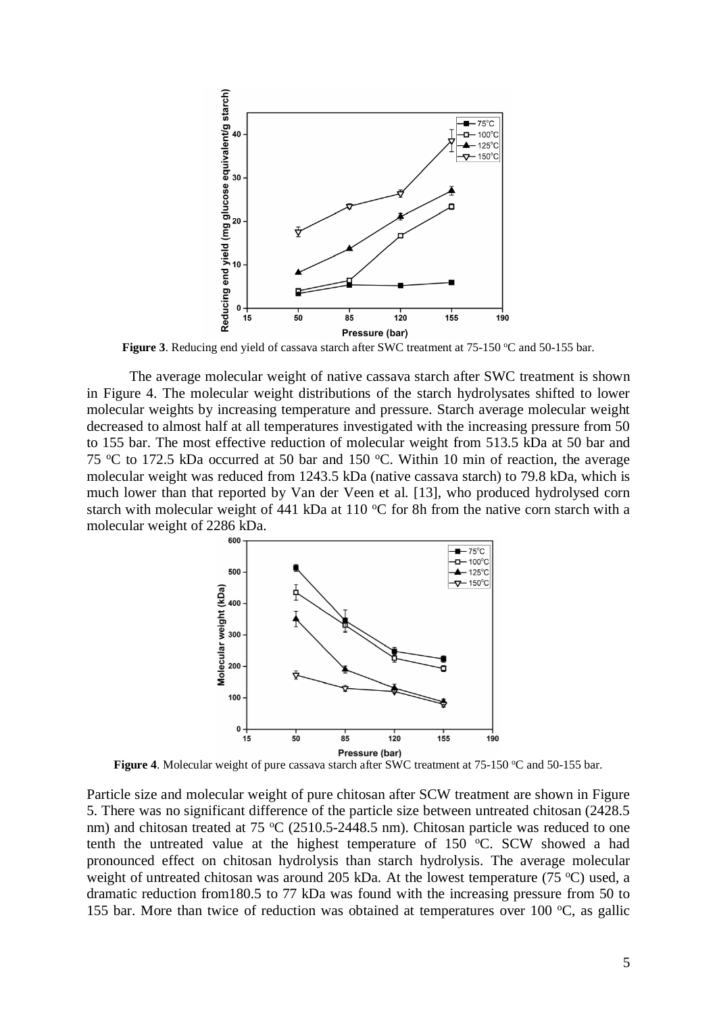

Figure 3. Reducing end yield of cassava starch after SWC treatment at 75-150 °C and 50-155 bar.

The average molecular weight of native cassava starch after SWC treatment is shown in Figure 4. The molecular weight distributions of the starch hydrolysates shifted to lower molecular weights by increasing temperature and pressure. Starch average molecular weight decreased to almost half at all temperatures investigated with the increasing pressure from 50 to 155 bar. The most effective reduction of molecular weight from 513.5 kDa at 50 bar and 75  $\degree$ C to 172.5 kDa occurred at 50 bar and 150  $\degree$ C. Within 10 min of reaction, the average molecular weight was reduced from 1243.5 kDa (native cassava starch) to 79.8 kDa, which is much lower than that reported by Van der Veen et al. [13], who produced hydrolysed corn starch with molecular weight of 441 kDa at 110  $\rm{^{\circ}C}$  for 8h from the native corn starch with a molecular weight of 2286 kDa.



Figure 4. Molecular weight of pure cassava starch after SWC treatment at 75-150 °C and 50-155 bar.

Particle size and molecular weight of pure chitosan after SCW treatment are shown in Figure 5. There was no significant difference of the particle size between untreated chitosan (2428.5 nm) and chitosan treated at 75  $\rm{°C}$  (2510.5-2448.5 nm). Chitosan particle was reduced to one tenth the untreated value at the highest temperature of 150  $\degree$ C. SCW showed a had pronounced effect on chitosan hydrolysis than starch hydrolysis. The average molecular weight of untreated chitosan was around 205 kDa. At the lowest temperature (75  $\degree$ C) used, a dramatic reduction from180.5 to 77 kDa was found with the increasing pressure from 50 to 155 bar. More than twice of reduction was obtained at temperatures over 100  $\degree$ C, as gallic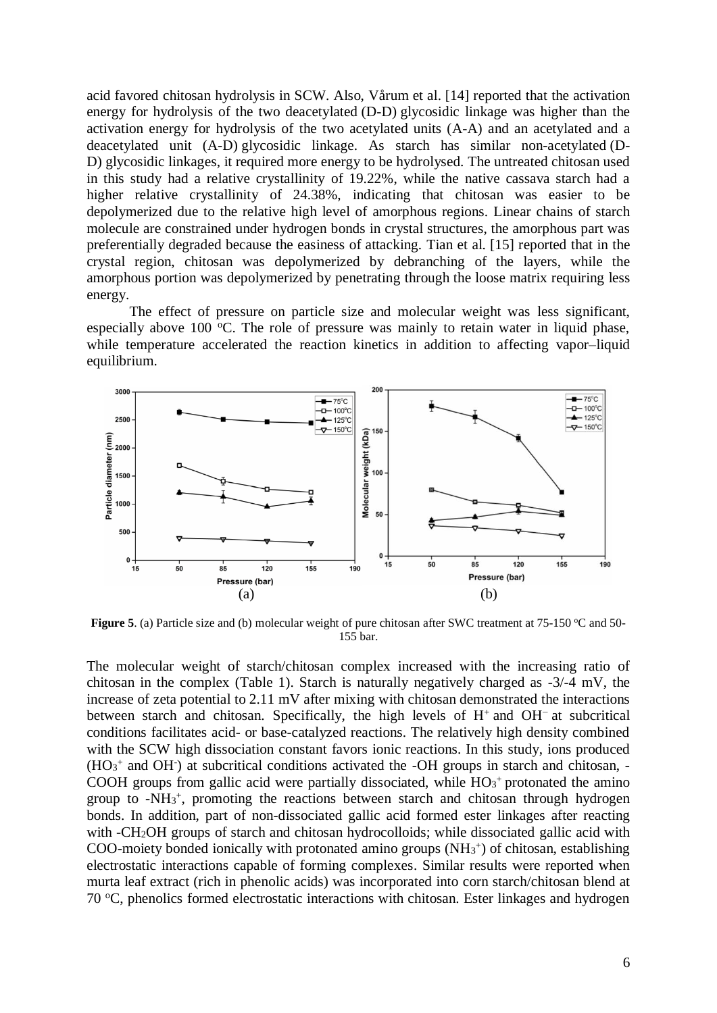acid favored chitosan hydrolysis in SCW. Also, Vårum et al. [14] reported that the activation energy for hydrolysis of the two deacetylated (D-D) glycosidic linkage was higher than the activation energy for hydrolysis of the two acetylated units (A-A) and an acetylated and a deacetylated unit (A-D) glycosidic linkage. As starch has similar non-acetylated (D-D) glycosidic linkages, it required more energy to be hydrolysed. The untreated chitosan used in this study had a relative crystallinity of 19.22%, while the native cassava starch had a higher relative crystallinity of 24.38%, indicating that chitosan was easier to be depolymerized due to the relative high level of amorphous regions. Linear chains of starch molecule are constrained under hydrogen bonds in crystal structures, the amorphous part was preferentially degraded because the easiness of attacking. Tian et al. [15] reported that in the crystal region, chitosan was depolymerized by debranching of the layers, while the amorphous portion was depolymerized by penetrating through the loose matrix requiring less energy.

The effect of pressure on particle size and molecular weight was less significant, especially above 100  $\degree$ C. The role of pressure was mainly to retain water in liquid phase, while temperature accelerated the reaction kinetics in addition to affecting vapor–liquid equilibrium.



**Figure 5**. (a) Particle size and (b) molecular weight of pure chitosan after SWC treatment at 75-150 °C and 50-155 bar.

The molecular weight of starch/chitosan complex increased with the increasing ratio of chitosan in the complex (Table 1). Starch is naturally negatively charged as -3/-4 mV, the increase of zeta potential to 2.11 mV after mixing with chitosan demonstrated the interactions between starch and chitosan. Specifically, the high levels of  $H^+$  and  $OH^-$  at subcritical conditions facilitates acid- or base-catalyzed reactions. The relatively high density combined with the SCW high dissociation constant favors ionic reactions. In this study, ions produced  $(HO<sub>3</sub><sup>+</sup>$  and OH $\cdot$ ) at subcritical conditions activated the -OH groups in starch and chitosan, -COOH groups from gallic acid were partially dissociated, while  $HO3^+$  protonated the amino group to -NH<sup>3</sup> + , promoting the reactions between starch and chitosan through hydrogen bonds. In addition, part of non-dissociated gallic acid formed ester linkages after reacting with -CH2OH groups of starch and chitosan hydrocolloids; while dissociated gallic acid with COO-moiety bonded ionically with protonated amino groups  $(NH<sub>3</sub><sup>+</sup>)$  of chitosan, establishing electrostatic interactions capable of forming complexes. Similar results were reported when murta leaf extract (rich in phenolic acids) was incorporated into corn starch/chitosan blend at 70 °C, phenolics formed electrostatic interactions with chitosan. Ester linkages and hydrogen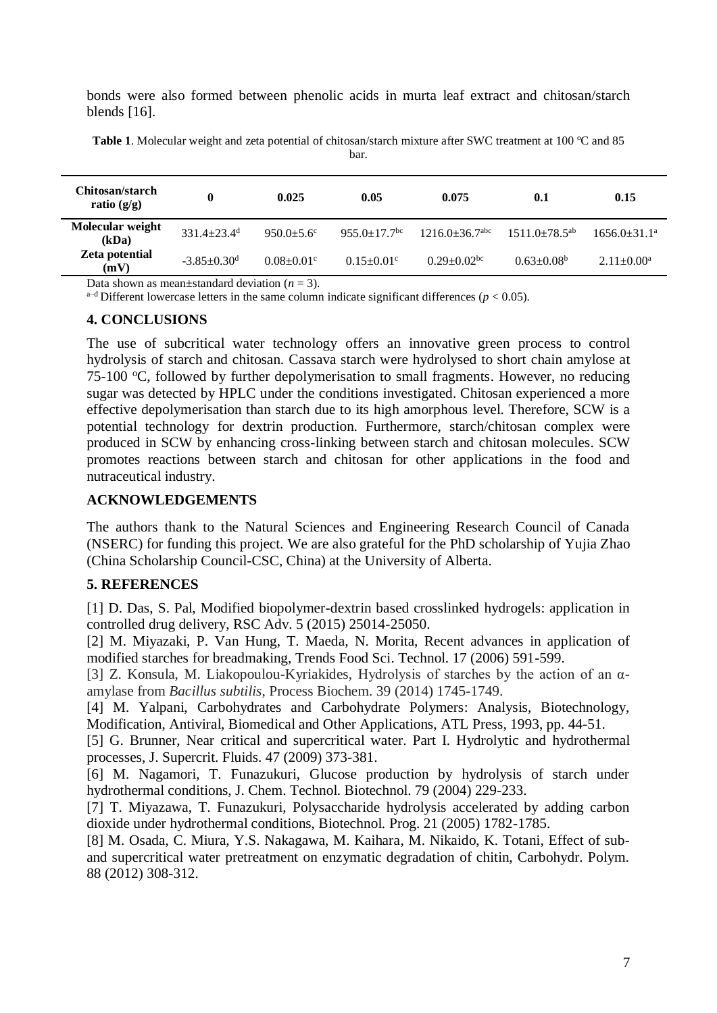bonds were also formed between phenolic acids in murta leaf extract and chitosan/starch blends [16].

| Chitosan/starch<br>ratio $(g/g)$ | $\bf{0}$                      | 0.025                      | 0.05                           | 0.075                            | 0.1                | 0.15              |
|----------------------------------|-------------------------------|----------------------------|--------------------------------|----------------------------------|--------------------|-------------------|
| Molecular weight<br>(kDa)        | $331.4 + 23.4$ <sup>d</sup>   | $950.0 + 5.6$ °            | $955.0 \pm 17.7$ <sup>bc</sup> | $1216.0 \pm 36.7$ <sup>abc</sup> | $1511.0+78.5^{ab}$ | $1656.0 + 31.1^a$ |
| Zeta potential<br>(mV)           | $-3.85 \pm 0.30$ <sup>d</sup> | $0.08 + 0.01$ <sup>c</sup> | $0.15 \pm 0.01$ <sup>c</sup>   | $0.29 + 0.02$ <sup>bc</sup>      | $0.63 \pm 0.08^b$  | $2.11 \pm 0.00^a$ |

**Table 1**. Molecular weight and zeta potential of chitosan/starch mixture after SWC treatment at 100 ºC and 85

bar.

Data shown as mean $\pm$ standard deviation ( $n = 3$ ).

<sup>a-d</sup> Different lowercase letters in the same column indicate significant differences ( $p < 0.05$ ).

#### **4. CONCLUSIONS**

The use of subcritical water technology offers an innovative green process to control hydrolysis of starch and chitosan. Cassava starch were hydrolysed to short chain amylose at 75-100 °C, followed by further depolymerisation to small fragments. However, no reducing sugar was detected by HPLC under the conditions investigated. Chitosan experienced a more effective depolymerisation than starch due to its high amorphous level. Therefore, SCW is a potential technology for dextrin production. Furthermore, starch/chitosan complex were produced in SCW by enhancing cross-linking between starch and chitosan molecules. SCW promotes reactions between starch and chitosan for other applications in the food and nutraceutical industry.

## **ACKNOWLEDGEMENTS**

The authors thank to the Natural Sciences and Engineering Research Council of Canada (NSERC) for funding this project. We are also grateful for the PhD scholarship of Yujia Zhao (China Scholarship Council-CSC, China) at the University of Alberta.

## **5. REFERENCES**

[1] D. Das, S. Pal, Modified biopolymer-dextrin based crosslinked hydrogels: application in controlled drug delivery, RSC Adv. 5 (2015) 25014-25050.

[2] M. Miyazaki, P. Van Hung, T. Maeda, N. Morita, Recent advances in application of modified starches for breadmaking, Trends Food Sci. Technol. 17 (2006) 591-599.

[3] Z. Konsula, M. Liakopoulou-Kyriakides, Hydrolysis of starches by the action of an αamylase from *Bacillus subtilis*, Process Biochem. 39 (2014) 1745-1749.

[4] M. Yalpani, Carbohydrates and Carbohydrate Polymers: Analysis, Biotechnology, Modification, Antiviral, Biomedical and Other Applications, ATL Press, 1993, pp. 44-51.

[5] G. Brunner, Near critical and supercritical water. Part I. Hydrolytic and hydrothermal processes, J. Supercrit. Fluids. 47 (2009) 373-381.

[6] M. Nagamori, T. Funazukuri, Glucose production by hydrolysis of starch under hydrothermal conditions, J. Chem. Technol. Biotechnol. 79 (2004) 229-233.

[7] T. Miyazawa, T. Funazukuri, Polysaccharide hydrolysis accelerated by adding carbon dioxide under hydrothermal conditions, Biotechnol. Prog. 21 (2005) 1782-1785.

[8] M. Osada, C. Miura, Y.S. Nakagawa, M. Kaihara, M. Nikaido, K. Totani, Effect of suband supercritical water pretreatment on enzymatic degradation of chitin, Carbohydr. Polym. 88 (2012) 308-312.